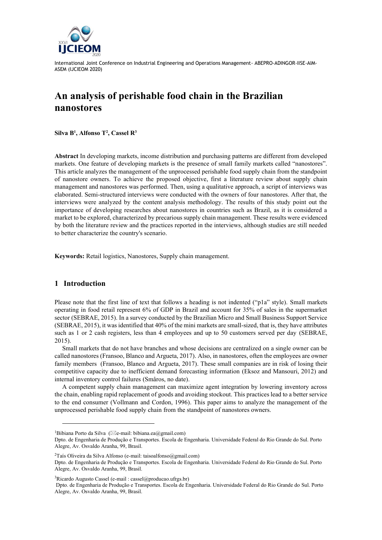

# **An analysis of perishable food chain in the Brazilian nanostores**

**Silva B<sup>1</sup> , Alfonso T<sup>2</sup> , Cassel R<sup>3</sup>**

**Abstract** In developing markets, income distribution and purchasing patterns are different from developed markets. One feature of developing markets is the presence of small family markets called "nanostores". This article analyzes the management of the unprocessed perishable food supply chain from the standpoint of nanostore owners. To achieve the proposed objective, first a literature review about supply chain management and nanostores was performed. Then, using a qualitative approach, a script of interviews was elaborated. Semi-structured interviews were conducted with the owners of four nanostores. After that, the interviews were analyzed by the content analysis methodology. The results of this study point out the importance of developing researches about nanostores in countries such as Brazil, as it is considered a market to be explored, characterized by precarious supply chain management. These results were evidenced by both the literature review and the practices reported in the interviews, although studies are still needed to better characterize the country's scenario.

**Keywords:** Retail logistics, Nanostores, Supply chain management.

# **1 Introduction**

Please note that the first line of text that follows a heading is not indented ("p1a" style). Small markets operating in food retail represent 6% of GDP in Brazil and account for 35% of sales in the supermarket sector (SEBRAE, 2015). In a survey conducted by the Brazilian Micro and Small Business Support Service (SEBRAE, 2015), it was identified that 40% of the mini markets are small-sized, that is, they have attributes such as 1 or 2 cash registers, less than 4 employees and up to 50 customers served per day (SEBRAE, 2015).

Small markets that do not have branches and whose decisions are centralized on a single owner can be called nanostores (Fransoo, Blanco and Argueta, 2017). Also, in nanostores, often the employees are owner family members (Fransoo, Blanco and Argueta, 2017). These small companies are in risk of losing their competitive capacity due to inefficient demand forecasting information (Eksoz and Mansouri, 2012) and internal inventory control failures (Småros, no date).

A competent supply chain management can maximize agent integration by lowering inventory across the chain, enabling rapid replacement of goods and avoiding stockout. This practices lead to a better service to the end consumer (Vollmann and Cordon, 1996). This paper aims to analyze the management of the unprocessed perishable food supply chain from the standpoint of nanostores owners.

<sup>&</sup>lt;sup>1</sup>Bibiana Porto da Silva ( $\boxtimes$ e-mail: bibiana.ea@gmail.com)

Dpto. de Engenharia de Produção e Transportes. Escola de Engenharia. Universidade Federal do Rio Grande do Sul. Porto Alegre, Av. Osvaldo Aranha, 99, Brasil.

<sup>&</sup>lt;sup>2</sup>Taís Oliveira da Silva Alfonso (e-mail: taisoalfonso@gmail.com)

Dpto. de Engenharia de Produção e Transportes. Escola de Engenharia. Universidade Federal do Rio Grande do Sul. Porto Alegre, Av. Osvaldo Aranha, 99, Brasil.

 ${}^{3}$ Ricardo Augusto Cassel (e-mail: cassel@producao.ufrgs.br)

Dpto. de Engenharia de Produção e Transportes. Escola de Engenharia. Universidade Federal do Rio Grande do Sul. Porto Alegre, Av. Osvaldo Aranha, 99, Brasil.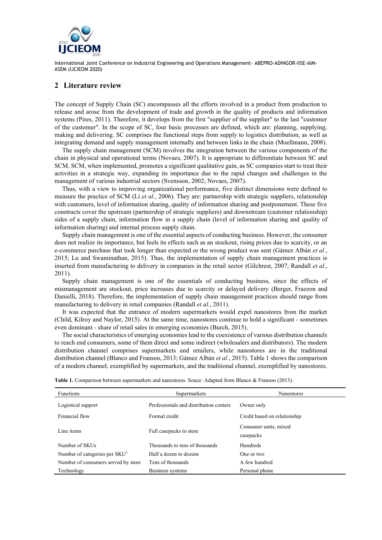

#### **2 Literature review**

The concept of Supply Chain (SC) encompasses all the efforts involved in a product from production to release and arose from the development of trade and growth in the quality of products and information systems (Pires, 2011). Therefore, it develops from the first "supplier of the supplier" to the last "customer of the customer". In the scope of SC, four basic processes are defined, which are: planning, supplying, making and delivering. SC comprises the functional steps from supply to logistics distribution, as well as integrating demand and supply management internally and between links in the chain (Moellmann, 2008).

The supply chain management (SCM) involves the integration between the various components of the chain in physical and operational terms (Novaes, 2007). It is appropriate to differentiate between SC and SCM. SCM, when implemented, promotes a significant qualitative gain, as SC companies start to treat their activities in a strategic way, expanding its importance due to the rapid changes and challenges in the management of various industrial sectors (Svensson, 2002; Novaes, 2007).

Thus, with a view to improving organizational performance, five distinct dimensions were defined to measure the practice of SCM (Li *et al.*, 2006). They are: partnership with strategic suppliers, relationship with customers, level of information sharing, quality of information sharing and postponement. These five constructs cover the upstream (partnership of strategic suppliers) and downstream (customer relationship) sides of a supply chain, information flow in a supply chain (level of information sharing and quality of information sharing) and internal process supply chain.

Supply chain management is one of the essential aspects of conducting business. However, the consumer does not realize its importance, but feels its effects such as an stockout, rising prices due to scarcity, or an e-commerce purchase that took longer than expected or the wrong product was sent (Gámez Albán *et al.*, 2015; Lu and Swaminathan, 2015). Thus, the implementation of supply chain management practices is inserted from manufacturing to delivery in companies in the retail sector (Gilchrest, 2007; Randall *et al.*, 2011).

Supply chain management is one of the essentials of conducting business, since the effects of mismanagement are stockout, price increases due to scarcity or delayed delivery (Berger, Frazzon and Danielli, 2018). Therefore, the implementation of supply chain management practices should range from manufacturing to delivery in retail companies (Randall *et al.*, 2011).

It was expected that the entrance of modern supermarkets would expel nanostores from the market (Child, Kilroy and Naylor, 2015). At the same time, nanostores continue to hold a significant - sometimes even dominant - share of retail sales in emerging economies (Burch, 2015).

The social characteristics of emerging economies lead to the coexistence of various distribution channels to reach end consumers, some of them direct and some indirect (wholesalers and distributors). The modern distribution channel comprises supermarkets and retailers, while nanostores are in the traditional distribution channel (Blanco and Fransoo, 2013; Gámez Albán *et al.*, 2015). Table 1 shows the comparison of a modern channel, exemplified by supermarkets, and the traditional channel, exemplified by nanostores.

| <b>Functions</b>                          | Supermarkets                           | <b>Nanostores</b>                  |
|-------------------------------------------|----------------------------------------|------------------------------------|
| Logistical support                        | Professionals and distribution centers | Owner only                         |
| Financial flow                            | Formal credit                          | Credit based on relationship       |
| Line items                                | Full casepacks to store                | Consumer units, mixed<br>casepacks |
| Number of SKUs                            | Thousands to tens of thousands         | <b>Hundreds</b>                    |
| Number of categories per SKU <sup>1</sup> | Half a dozen to dozens                 | One or two                         |
| Number of consumers served by store       | Tens of thousands                      | A few hundred                      |
| Technology                                | Business systems                       | Personal phone                     |

**Table 1.** Comparison between supermarkets and nanostores. Souce: Adapted from Blanco & Fransoo (2013).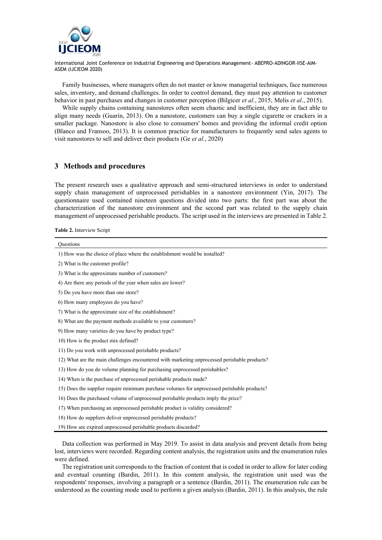

Family businesses, where managers often do not master or know managerial techniques, face numerous sales, inventory, and demand challenges. In order to control demand, they must pay attention to customer behavior in past purchases and changes in customer perception (Bilgicer *et al.*, 2015; Melis *et al.*, 2015).

While supply chains containing nanostores often seem chaotic and inefficient, they are in fact able to align many needs (Guarín, 2013). On a nanostore, customers can buy a single cigarette or crackers in a smaller package. Nanostore is also close to consumers' homes and providing the informal credit option (Blanco and Fransoo, 2013). It is common practice for manufacturers to frequently send sales agents to visit nanostores to sell and deliver their products (Ge *et al.*, 2020)

### **3 Methods and procedures**

The present research uses a qualitative approach and semi-structured interviews in order to understand supply chain management of unprocessed perishables in a nanostore environment (Yin, 2017). The questionnaire used contained nineteen questions divided into two parts: the first part was about the characterization of the nanostore environment and the second part was related to the supply chain management of unprocessed perishable products. The script used in the interviews are presented in Table 2.

**Table 2.** Interview Script

| <b>Ouestions</b>                                                                             |
|----------------------------------------------------------------------------------------------|
| 1) How was the choice of place where the establishment would be installed?                   |
| 2) What is the customer profile?                                                             |
| 3) What is the approximate number of customers?                                              |
| 4) Are there any periods of the year when sales are lower?                                   |
| 5) Do you have more than one store?                                                          |
| 6) How many employees do you have?                                                           |
| 7) What is the approximate size of the establishment?                                        |
| 8) What are the payment methods available to your customers?                                 |
| 9) How many varieties do you have by product type?                                           |
| 10) How is the product mix defined?                                                          |
| 11) Do you work with unprocessed perishable products?                                        |
| 12) What are the main challenges encountered with marketing unprocessed perishable products? |
| 13) How do you do volume planning for purchasing unprocessed perishables?                    |
| 14) When is the purchase of unprocessed perishable products made?                            |
| 15) Does the supplier require minimum purchase volumes for unprocessed perishable products?  |
| 16) Does the purchased volume of unprocessed perishable products imply the price?            |
| 17) When purchasing an unprocessed perishable product is validity considered?                |
| 18) How do suppliers deliver unprocessed perishable products?                                |
| 19) How are expired unprocessed perishable products discarded?                               |
|                                                                                              |

Data collection was performed in May 2019. To assist in data analysis and prevent details from being lost, interviews were recorded. Regarding content analysis, the registration units and the enumeration rules were defined.

The registration unit corresponds to the fraction of content that is coded in order to allow for later coding and eventual counting (Bardin, 2011). In this content analysis, the registration unit used was the respondents' responses, involving a paragraph or a sentence (Bardin, 2011). The enumeration rule can be understood as the counting mode used to perform a given analysis (Bardin, 2011). In this analysis, the rule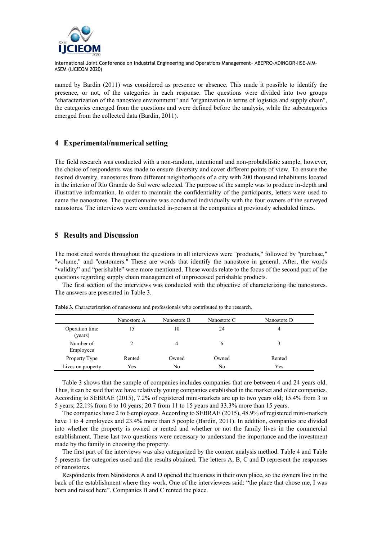

named by Bardin (2011) was considered as presence or absence. This made it possible to identify the presence, or not, of the categories in each response. The questions were divided into two groups "characterization of the nanostore environment" and "organization in terms of logistics and supply chain", the categories emerged from the questions and were defined before the analysis, while the subcategories emerged from the collected data (Bardin, 2011).

#### **4 Experimental/numerical setting**

The field research was conducted with a non-random, intentional and non-probabilistic sample, however, the choice of respondents was made to ensure diversity and cover different points of view. To ensure the desired diversity, nanostores from different neighborhoods of a city with 200 thousand inhabitants located in the interior of Rio Grande do Sul were selected. The purpose of the sample was to produce in-depth and illustrative information. In order to maintain the confidentiality of the participants, letters were used to name the nanostores. The questionnaire was conducted individually with the four owners of the surveyed nanostores. The interviews were conducted in-person at the companies at previously scheduled times.

## **5 Results and Discussion**

The most cited words throughout the questions in all interviews were "products," followed by "purchase," "volume," and "customers." These are words that identify the nanostore in general. After, the words "validity" and "perishable" were more mentioned. These words relate to the focus of the second part of the questions regarding supply chain management of unprocessed perishable products.

The first section of the interviews was conducted with the objective of characterizing the nanostores. The answers are presented in Table 3.

|                           | Nanostore A | Nanostore B | Nanostore C  | Nanostore D |
|---------------------------|-------------|-------------|--------------|-------------|
| Operation time<br>(years) | 15          | 10          | 24           | 4           |
| Number of<br>Employees    |             | 4           | <sub>(</sub> |             |
| Property Type             | Rented      | Owned       | Owned        | Rented      |
| Lives on property         | Yes         | No          | No           | Yes         |

**Table 3.** Characterization of nanostores and professionals who contributed to the research.

Table 3 shows that the sample of companies includes companies that are between 4 and 24 years old. Thus, it can be said that we have relatively young companies established in the market and older companies. According to SEBRAE (2015), 7.2% of registered mini-markets are up to two years old; 15.4% from 3 to 5 years; 22.1% from 6 to 10 years; 20.7 from 11 to 15 years and 33.3% more than 15 years.

The companies have 2 to 6 employees. According to SEBRAE (2015), 48.9% of registered mini-markets have 1 to 4 employees and 23.4% more than 5 people (Bardin, 2011). In addition, companies are divided into whether the property is owned or rented and whether or not the family lives in the commercial establishment. These last two questions were necessary to understand the importance and the investment made by the family in choosing the property.

The first part of the interviews was also categorized by the content analysis method. Table 4 and Table 5 presents the categories used and the results obtained. The letters A, B, C and D represent the responses of nanostores.

Respondents from Nanostores A and D opened the business in their own place, so the owners live in the back of the establishment where they work. One of the interviewees said: "the place that chose me, I was born and raised here". Companies B and C rented the place.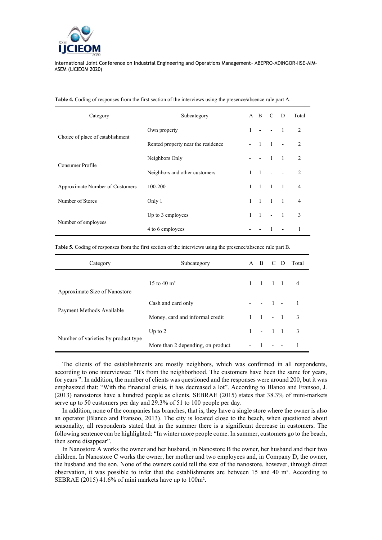

| Category                         | Subcategory                        |              | $A$ $B$           | C                        | $\mathbf{D}$   | Total          |
|----------------------------------|------------------------------------|--------------|-------------------|--------------------------|----------------|----------------|
| Choice of place of establishment | Own property                       | $\mathbf{1}$ | $\sim$            | $\sim$                   | $\blacksquare$ | 2              |
|                                  | Rented property near the residence |              | $\blacksquare$    | $\overline{1}$           | $\sim$         | $\mathfrak{D}$ |
| Consumer Profile                 | Neighbors Only                     |              |                   | $\overline{1}$           | $\blacksquare$ | $\overline{2}$ |
|                                  | Neighbors and other customers      | $\mathbf{1}$ | $\overline{1}$    | $\overline{\phantom{a}}$ |                | $\mathfrak{D}$ |
| Approximate Number of Customers  | 100-200                            | 1            | $\overline{1}$    | $\overline{1}$           | $\blacksquare$ | $\overline{4}$ |
| Number of Stores                 | Only 1                             | $\mathbf{1}$ | $\sim$ 1 $\sim$ 1 |                          | $\sim$ 1       | 4              |
| Number of employees              | Up to 3 employees                  |              | $1 \quad 1$       | $\sim$                   | $\blacksquare$ | 3              |
|                                  | 4 to 6 employees                   |              |                   | 1                        |                |                |

**Table 4.** Coding of responses from the first section of the interviews using the presence/absence rule part A.

**Table 5.** Coding of responses from the first section of the interviews using the presence/absence rule part B.

| Category                            | Subcategory                       |                |                     |  | A B C D Total |
|-------------------------------------|-----------------------------------|----------------|---------------------|--|---------------|
| Approximate Size of Nanostore       | 15 to 40 $\rm m^2$                |                | $1 \t1 \t1 \t1 \t4$ |  |               |
| Payment Methods Available           | Cash and card only                |                | $- - 1 - 1$         |  |               |
|                                     | Money, card and informal credit   |                | $1 \t1 - 1 \t3$     |  |               |
| Number of varieties by product type | Up to $2$                         |                | $1 - 11$ 3          |  |               |
|                                     | More than 2 depending, on product | $\blacksquare$ | $1 - 1$             |  |               |

The clients of the establishments are mostly neighbors, which was confirmed in all respondents, according to one interviewee: "It's from the neighborhood. The customers have been the same for years, for years ". In addition, the number of clients was questioned and the responses were around 200, but it was emphasized that: "With the financial crisis, it has decreased a lot". According to Blanco and Fransoo, J. (2013) nanostores have a hundred people as clients. SEBRAE (2015) states that 38.3% of mini-markets serve up to 50 customers per day and 29.3% of 51 to 100 people per day.

In addition, none of the companies has branches, that is, they have a single store where the owner is also an operator (Blanco and Fransoo, 2013). The city is located close to the beach, when questioned about seasonality, all respondents stated that in the summer there is a significant decrease in customers. The following sentence can be highlighted: "In winter more people come. In summer, customers go to the beach, then some disappear".

In Nanostore A works the owner and her husband, in Nanostore B the owner, her husband and their two children. In Nanostore C works the owner, her mother and two employees and, in Company D, the owner, the husband and the son. None of the owners could tell the size of the nanostore, however, through direct observation, it was possible to infer that the establishments are between 15 and 40 m². According to SEBRAE (2015) 41.6% of mini markets have up to 100m².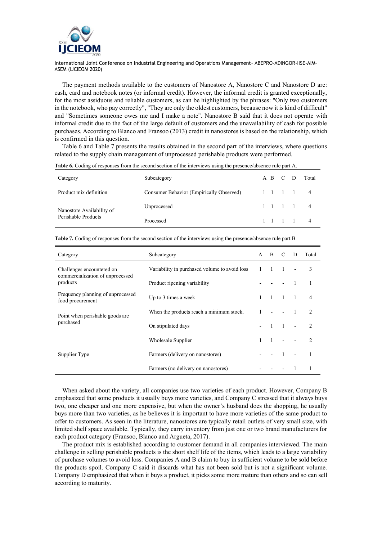

The payment methods available to the customers of Nanostore A, Nanostore C and Nanostore D are: cash, card and notebook notes (or informal credit). However, the informal credit is granted exceptionally, for the most assiduous and reliable customers, as can be highlighted by the phrases: "Only two customers in the notebook, who pay correctly", "They are only the oldest customers, because now it is kind of difficult" and "Sometimes someone owes me and I make a note". Nanostore B said that it does not operate with informal credit due to the fact of the large default of customers and the unavailability of cash for possible purchases. According to Blanco and Fransoo (2013) credit in nanostores is based on the relationship, which is confirmed in this question.

Table 6 and Table 7 presents the results obtained in the second part of the interviews, where questions related to the supply chain management of unprocessed perishable products were performed.

| Category                                         | Subcategory                              |  | A B C D |                 | Total          |
|--------------------------------------------------|------------------------------------------|--|---------|-----------------|----------------|
| Product mix definition                           | Consumer Behavior (Empirically Observed) |  |         |                 | $\overline{4}$ |
| Nanostore Availability of<br>Perishable Products | Unprocessed                              |  |         | $1 \t1 \t1 \t1$ | -4             |
|                                                  | Processed                                |  |         | $1 \t1 \t1 \t1$ | 4              |

**Table 6.** Coding of responses from the second section of the interviews using the presence/absence rule part A.

| Category                                              | Subcategory                                   | $\mathsf{A}$ | <sub>B</sub>   | C                        | D              | Total                       |
|-------------------------------------------------------|-----------------------------------------------|--------------|----------------|--------------------------|----------------|-----------------------------|
| Challenges encountered on                             | Variability in purchased volume to avoid loss | $\mathbf{1}$ | $\blacksquare$ | $\blacksquare$           |                | 3                           |
| commercialization of unprocessed<br>products          | Product ripening variability                  |              |                |                          | $\blacksquare$ |                             |
| Frequency planning of unprocessed<br>food procurement | Up to 3 times a week                          | $\mathbf{1}$ | $1 \quad 1$    |                          | $\blacksquare$ | $\overline{4}$              |
| Point when perishable goods are<br>purchased          | When the products reach a minimum stock.      |              |                |                          | $\sim$ 1       | $\mathcal{D}_{\mathcal{L}}$ |
|                                                       | On stipulated days                            |              |                | $\blacksquare$           | $\sim$         | $\mathfrak{D}$              |
|                                                       | Wholesale Supplier                            | $\mathbf{1}$ | $\overline{1}$ |                          |                | $\mathcal{D}$               |
| Supplier Type                                         | Farmers (delivery on nanostores)              |              |                | $\overline{\phantom{0}}$ |                |                             |
|                                                       | Farmers (no delivery on nanostores)           |              |                |                          |                |                             |

**Table 7.** Coding of responses from the second section of the interviews using the presence/absence rule part B.

When asked about the variety, all companies use two varieties of each product. However, Company B emphasized that some products it usually buys more varieties, and Company C stressed that it always buys two, one cheaper and one more expensive, but when the owner's husband does the shopping, he usually buys more than two varieties, as he believes it is important to have more varieties of the same product to offer to customers. As seen in the literature, nanostores are typically retail outlets of very small size, with limited shelf space available. Typically, they carry inventory from just one or two brand manufacturers for each product category (Fransoo, Blanco and Argueta, 2017).

The product mix is established according to customer demand in all companies interviewed. The main challenge in selling perishable products is the short shelf life of the items, which leads to a large variability of purchase volumes to avoid loss. Companies A and B claim to buy in sufficient volume to be sold before the products spoil. Company C said it discards what has not been sold but is not a significant volume. Company D emphasized that when it buys a product, it picks some more mature than others and so can sell according to maturity.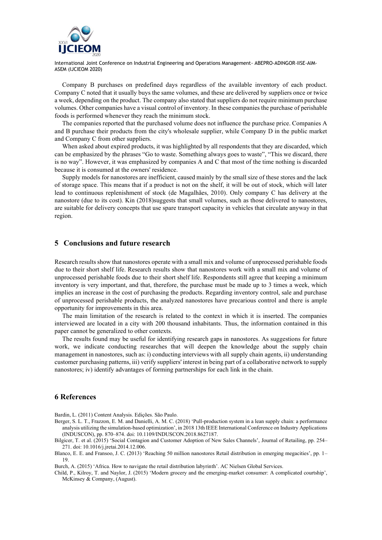

Company B purchases on predefined days regardless of the available inventory of each product. Company C noted that it usually buys the same volumes, and these are delivered by suppliers once or twice a week, depending on the product. The company also stated that suppliers do not require minimum purchase volumes. Other companies have a visual control of inventory. In these companies the purchase of perishable foods is performed whenever they reach the minimum stock.

The companies reported that the purchased volume does not influence the purchase price. Companies A and B purchase their products from the city's wholesale supplier, while Company D in the public market and Company C from other suppliers.

When asked about expired products, it was highlighted by all respondents that they are discarded, which can be emphasized by the phrases "Go to waste. Something always goes to waste", "This we discard, there is no way". However, it was emphasized by companies A and C that most of the time nothing is discarded because it is consumed at the owners' residence.

Supply models for nanostores are inefficient, caused mainly by the small size of these stores and the lack of storage space. This means that if a product is not on the shelf, it will be out of stock, which will later lead to continuous replenishment of stock (de Magalhães, 2010). Only company C has delivery at the nanostore (due to its cost). Kin (2018)suggests that small volumes, such as those delivered to nanostores, are suitable for delivery concepts that use spare transport capacity in vehicles that circulate anyway in that region.

### **5 Conclusions and future research**

Research results show that nanostores operate with a small mix and volume of unprocessed perishable foods due to their short shelf life. Research results show that nanostores work with a small mix and volume of unprocessed perishable foods due to their short shelf life. Respondents still agree that keeping a minimum inventory is very important, and that, therefore, the purchase must be made up to 3 times a week, which implies an increase in the cost of purchasing the products. Regarding inventory control, sale and purchase of unprocessed perishable products, the analyzed nanostores have precarious control and there is ample opportunity for improvements in this area.

The main limitation of the research is related to the context in which it is inserted. The companies interviewed are located in a city with 200 thousand inhabitants. Thus, the information contained in this paper cannot be generalized to other contexts.

The results found may be useful for identifying research gaps in nanostores. As suggestions for future work, we indicate conducting researches that will deepen the knowledge about the supply chain management in nanostores, such as: i) conducting interviews with all supply chain agents, ii) understanding customer purchasing patterns, iii) verify suppliers' interest in being part of a collaborative network to supply nanostores; iv) identify advantages of forming partnerships for each link in the chain.

#### **6 References**

Bardin, L. (2011) Content Analysis. Edições. São Paulo.

- Berger, S. L. T., Frazzon, E. M. and Danielli, A. M. C. (2018) 'Pull-production system in a lean supply chain: a performance analysis utilizing the simulation-based optimization', in 2018 13th IEEE International Conference on Industry Applications (INDUSCON), pp. 870–874. doi: 10.1109/INDUSCON.2018.8627187.
- Bilgicer, T. et al. (2015) 'Social Contagion and Customer Adoption of New Sales Channels', Journal of Retailing, pp. 254– 271. doi: 10.1016/j.jretai.2014.12.006.
- Blanco, E. E. and Fransoo, J. C. (2013) 'Reaching 50 million nanostores Retail distribution in emerging megacities', pp. 1– 19.

Burch, A. (2015) 'Africa. How to navigate the retail distribution labyrinth'. AC Nielsen Global Services.

Child, P., Kilroy, T. and Naylor, J. (2015) 'Modern grocery and the emerging-market consumer: A complicated courtship', McKinsey & Company, (August).